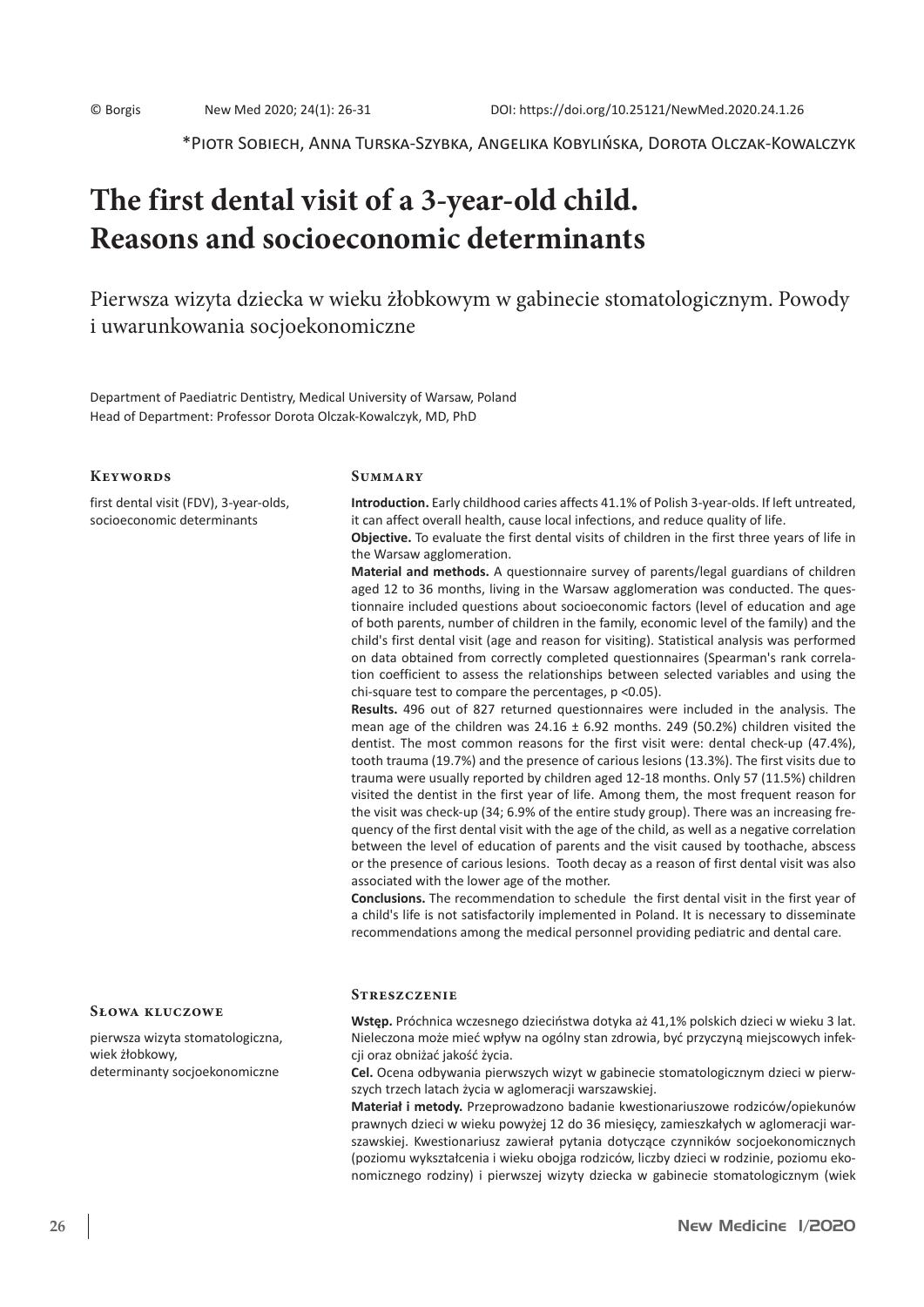\*Piotr Sobiech, Anna Turska-Szybka, Angelika Kobylińska, Dorota Olczak-Kowalczyk

# **The first dental visit of a 3-year-old child. Reasons and socioeconomic determinants**

Pierwsza wizyta dziecka w wieku żłobkowym w gabinecie stomatologicznym. Powody i uwarunkowania socjoekonomiczne

Department of Paediatric Dentistry, Medical University of Warsaw, Poland Head of Department: Professor Dorota Olczak-Kowalczyk, MD, PhD

#### **Keywords**

first dental visit (FDV), 3-year-olds, socioeconomic determinants

#### **Summary**

the Warsaw agglomeration.

**Introduction.** Early childhood caries affects 41.1% of Polish 3-year-olds. If left untreated, it can affect overall health, cause local infections, and reduce quality of life. **Objective.** To evaluate the first dental visits of children in the first three years of life in

**Material and methods.** A questionnaire survey of parents/legal guardians of children aged 12 to 36 months, living in the Warsaw agglomeration was conducted. The questionnaire included questions about socioeconomic factors (level of education and age of both parents, number of children in the family, economic level of the family) and the child's first dental visit (age and reason for visiting). Statistical analysis was performed on data obtained from correctly completed questionnaires (Spearman's rank correlation coefficient to assess the relationships between selected variables and using the chi-square test to compare the percentages, p <0.05).

**Results.** 496 out of 827 returned questionnaires were included in the analysis. The mean age of the children was  $24.16 \pm 6.92$  months. 249 (50.2%) children visited the dentist. The most common reasons for the first visit were: dental check-up (47.4%), tooth trauma (19.7%) and the presence of carious lesions (13.3%). The first visits due to trauma were usually reported by children aged 12-18 months. Only 57 (11.5%) children visited the dentist in the first year of life. Among them, the most frequent reason for the visit was check-up (34; 6.9% of the entire study group). There was an increasing frequency of the first dental visit with the age of the child, as well as a negative correlation between the level of education of parents and the visit caused by toothache, abscess or the presence of carious lesions. Tooth decay as a reason of first dental visit was also associated with the lower age of the mother.

**Conclusions.** The recommendation to schedule the first dental visit in the first year of a child's life is not satisfactorily implemented in Poland. It is necessary to disseminate recommendations among the medical personnel providing pediatric and dental care.

pierwsza wizyta stomatologiczna, wiek żłobkowy, determinanty socjoekonomiczne

**Słowa kluczowe**

**Streszczenie** 

**Wstęp.** Próchnica wczesnego dzieciństwa dotyka aż 41,1% polskich dzieci w wieku 3 lat. Nieleczona może mieć wpływ na ogólny stan zdrowia, być przyczyną miejscowych infekcji oraz obniżać jakość życia.

**Cel.** Ocena odbywania pierwszych wizyt w gabinecie stomatologicznym dzieci w pierwszych trzech latach życia w aglomeracji warszawskiej.

**Materiał i metody.** Przeprowadzono badanie kwestionariuszowe rodziców/opiekunów prawnych dzieci w wieku powyżej 12 do 36 miesięcy, zamieszkałych w aglomeracji warszawskiej. Kwestionariusz zawierał pytania dotyczące czynników socjoekonomicznych (poziomu wykształcenia i wieku obojga rodziców, liczby dzieci w rodzinie, poziomu ekonomicznego rodziny) i pierwszej wizyty dziecka w gabinecie stomatologicznym (wiek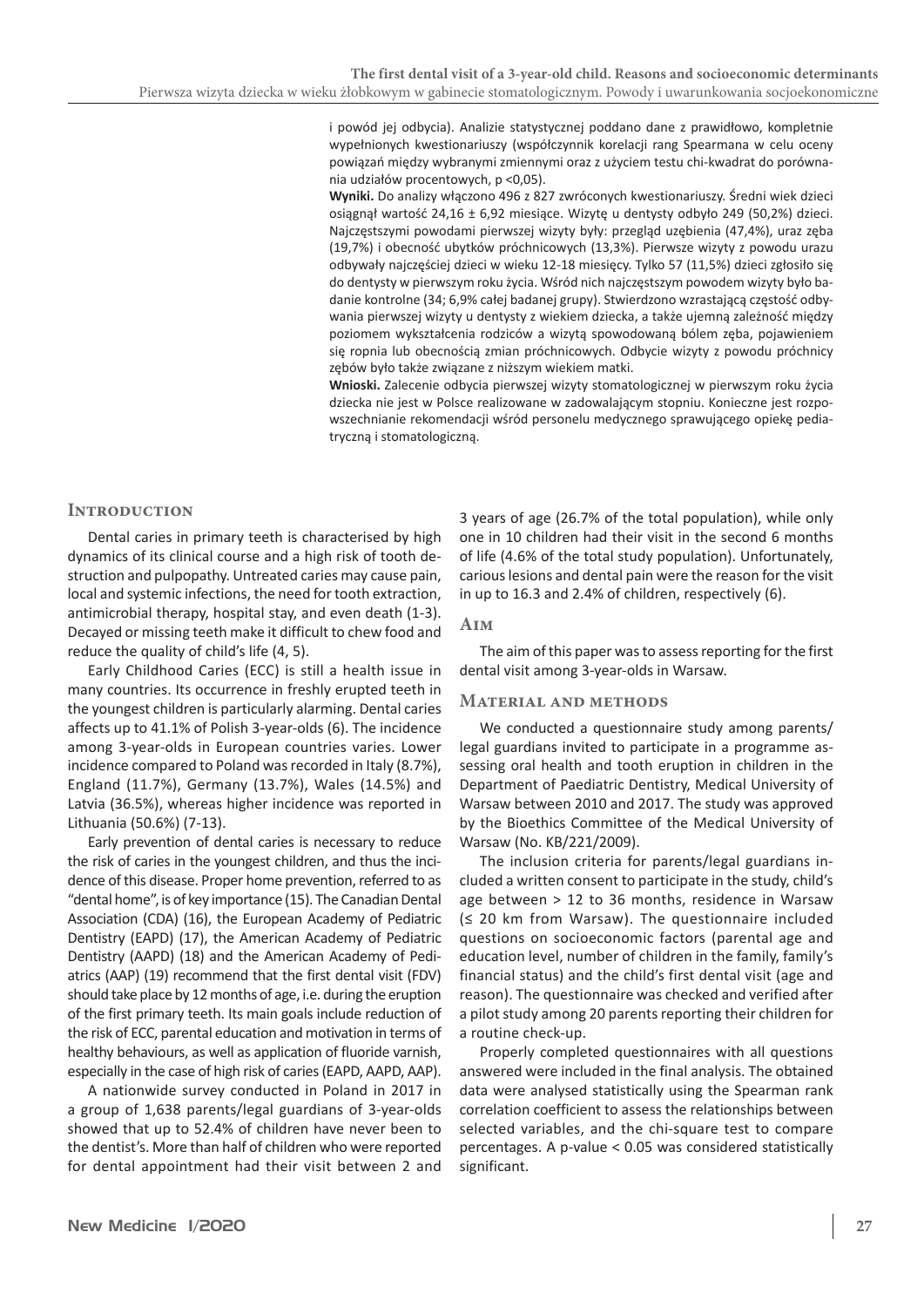i powód jej odbycia). Analizie statystycznej poddano dane z prawidłowo, kompletnie wypełnionych kwestionariuszy (współczynnik korelacji rang Spearmana w celu oceny powiązań między wybranymi zmiennymi oraz z użyciem testu chi-kwadrat do porównania udziałów procentowych, p <0,05).

**Wyniki.** Do analizy włączono 496 z 827 zwróconych kwestionariuszy. Średni wiek dzieci osiągnął wartość 24,16 ± 6,92 miesiące. Wizytę u dentysty odbyło 249 (50,2%) dzieci. Najczęstszymi powodami pierwszej wizyty były: przegląd uzębienia (47,4%), uraz zęba (19,7%) i obecność ubytków próchnicowych (13,3%). Pierwsze wizyty z powodu urazu odbywały najczęściej dzieci w wieku 12-18 miesięcy. Tylko 57 (11,5%) dzieci zgłosiło się do dentysty w pierwszym roku życia. Wśród nich najczęstszym powodem wizyty było badanie kontrolne (34; 6,9% całej badanej grupy). Stwierdzono wzrastającą częstość odbywania pierwszej wizyty u dentysty z wiekiem dziecka, a także ujemną zależność między poziomem wykształcenia rodziców a wizytą spowodowaną bólem zęba, pojawieniem się ropnia lub obecnością zmian próchnicowych. Odbycie wizyty z powodu próchnicy zębów było także związane z niższym wiekiem matki.

**Wnioski.** Zalecenie odbycia pierwszej wizyty stomatologicznej w pierwszym roku życia dziecka nie jest w Polsce realizowane w zadowalającym stopniu. Konieczne jest rozpowszechnianie rekomendacji wśród personelu medycznego sprawującego opiekę pediatryczną i stomatologiczną.

# **Introduction**

Dental caries in primary teeth is characterised by high dynamics of its clinical course and a high risk of tooth destruction and pulpopathy. Untreated caries may cause pain, local and systemic infections, the need for tooth extraction, antimicrobial therapy, hospital stay, and even death (1-3). Decayed or missing teeth make it difficult to chew food and reduce the quality of child's life (4, 5).

Early Childhood Caries (ECC) is still a health issue in many countries. Its occurrence in freshly erupted teeth in the youngest children is particularly alarming. Dental caries affects up to 41.1% of Polish 3-year-olds (6). The incidence among 3-year-olds in European countries varies. Lower incidence compared to Poland was recorded in Italy (8.7%), England (11.7%), Germany (13.7%), Wales (14.5%) and Latvia (36.5%), whereas higher incidence was reported in Lithuania (50.6%) (7-13).

Early prevention of dental caries is necessary to reduce the risk of caries in the youngest children, and thus the incidence of this disease. Proper home prevention, referred to as "dental home", is of key importance (15). The Canadian Dental Association (CDA) (16), the European Academy of Pediatric Dentistry (EAPD) (17), the American Academy of Pediatric Dentistry (AAPD) (18) and the American Academy of Pediatrics (AAP) (19) recommend that the first dental visit (FDV) should take place by 12 months of age, i.e. during the eruption of the first primary teeth. Its main goals include reduction of the risk of ECC, parental education and motivation in terms of healthy behaviours, as well as application of fluoride varnish, especially in the case of high risk of caries(EAPD, AAPD, AAP).

A nationwide survey conducted in Poland in 2017 in a group of 1,638 parents/legal guardians of 3-year-olds showed that up to 52.4% of children have never been to the dentist's. More than half of children who were reported for dental appointment had their visit between 2 and 3 years of age (26.7% of the total population), while only one in 10 children had their visit in the second 6 months of life (4.6% of the total study population). Unfortunately, carious lesions and dental pain were the reason for the visit in up to 16.3 and 2.4% of children, respectively (6).

#### **Aim**

The aim of this paper was to assess reporting for the first dental visit among 3-year-olds in Warsaw.

#### **Material and methods**

We conducted a questionnaire study among parents/ legal guardians invited to participate in a programme assessing oral health and tooth eruption in children in the Department of Paediatric Dentistry, Medical University of Warsaw between 2010 and 2017. The study was approved by the Bioethics Committee of the Medical University of Warsaw (No. KB/221/2009).

The inclusion criteria for parents/legal guardians included a written consent to participate in the study, child's age between > 12 to 36 months, residence in Warsaw (≤ 20 km from Warsaw). The questionnaire included questions on socioeconomic factors (parental age and education level, number of children in the family, family's financial status) and the child's first dental visit (age and reason). The questionnaire was checked and verified after a pilot study among 20 parents reporting their children for a routine check-up.

Properly completed questionnaires with all questions answered were included in the final analysis. The obtained data were analysed statistically using the Spearman rank correlation coefficient to assess the relationships between selected variables, and the chi-square test to compare percentages. A p-value < 0.05 was considered statistically significant.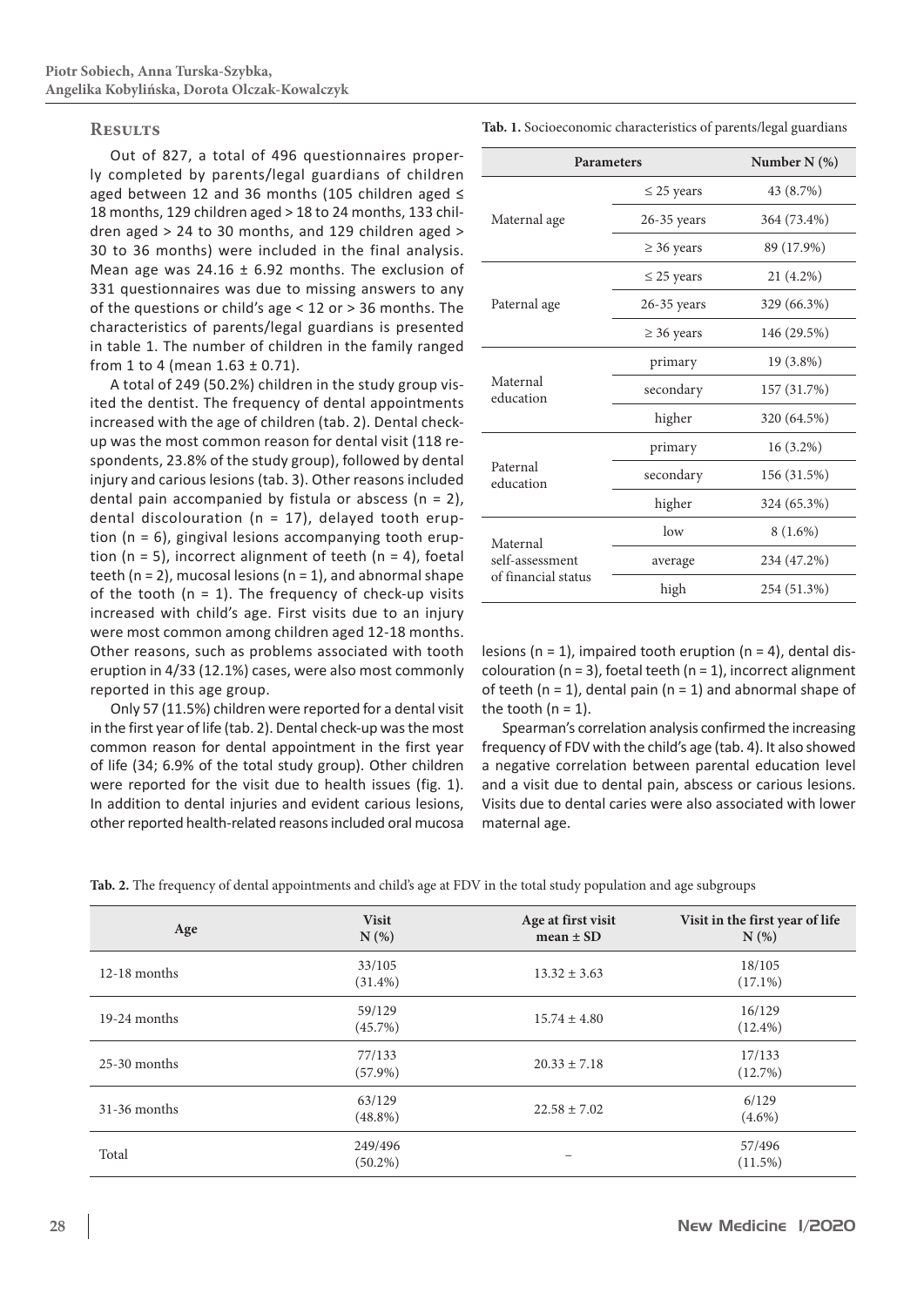# **Results**

Out of 827, a total of 496 questionnaires properly completed by parents/legal guardians of children aged between 12 and 36 months (105 children aged ≤ 18 months, 129 children aged > 18 to 24 months, 133 children aged > 24 to 30 months, and 129 children aged > 30 to 36 months) were included in the final analysis. Mean age was  $24.16 \pm 6.92$  months. The exclusion of 331 questionnaires was due to missing answers to any of the questions or child's age < 12 or > 36 months. The characteristics of parents/legal guardians is presented in table 1. The number of children in the family ranged from 1 to 4 (mean  $1.63 \pm 0.71$ ).

A total of 249 (50.2%) children in the study group visited the dentist. The frequency of dental appointments increased with the age of children (tab. 2). Dental checkup was the most common reason for dental visit (118 respondents, 23.8% of the study group), followed by dental injury and carious lesions (tab. 3). Other reasons included dental pain accompanied by fistula or abscess ( $n = 2$ ), dental discolouration ( $n = 17$ ), delayed tooth eruption (n = 6), gingival lesions accompanying tooth eruption ( $n = 5$ ), incorrect alignment of teeth ( $n = 4$ ), foetal teeth ( $n = 2$ ), mucosal lesions ( $n = 1$ ), and abnormal shape of the tooth ( $n = 1$ ). The frequency of check-up visits increased with child's age. First visits due to an injury were most common among children aged 12-18 months. Other reasons, such as problems associated with tooth eruption in 4/33 (12.1%) cases, were also most commonly reported in this age group.

Only 57 (11.5%) children were reported for a dental visit in the first year of life (tab. 2). Dental check-up was the most common reason for dental appointment in the first year of life (34; 6.9% of the total study group). Other children were reported for the visit due to health issues (fig. 1). In addition to dental injuries and evident carious lesions, other reported health-related reasons included oral mucosa **Tab. 1.** Socioeconomic characteristics of parents/legal guardians

| <b>Parameters</b>                                  | Number N (%)    |             |  |
|----------------------------------------------------|-----------------|-------------|--|
|                                                    | $\leq$ 25 years | 43 (8.7%)   |  |
| Maternal age                                       | $26-35$ years   | 364 (73.4%) |  |
|                                                    | $\geq$ 36 years | 89 (17.9%)  |  |
| Paternal age                                       | $\leq$ 25 years | 21 (4.2%)   |  |
|                                                    | $26-35$ years   | 329 (66.3%) |  |
|                                                    | $\geq$ 36 years | 146 (29.5%) |  |
| Maternal<br>education                              | primary         | 19 (3.8%)   |  |
|                                                    | secondary       | 157 (31.7%) |  |
|                                                    | higher          | 320 (64.5%) |  |
| Paternal<br>education                              | primary         | 16 (3.2%)   |  |
|                                                    | secondary       | 156 (31.5%) |  |
|                                                    | higher          | 324 (65.3%) |  |
| Maternal<br>self-assessment<br>of financial status | low             | 8 (1.6%)    |  |
|                                                    | average         | 234 (47.2%) |  |
|                                                    | high            | 254 (51.3%) |  |

lesions ( $n = 1$ ), impaired tooth eruption ( $n = 4$ ), dental discolouration ( $n = 3$ ), foetal teeth ( $n = 1$ ), incorrect alignment of teeth ( $n = 1$ ), dental pain ( $n = 1$ ) and abnormal shape of the tooth  $(n = 1)$ .

Spearman's correlation analysis confirmed the increasing frequency of FDV with the child's age (tab. 4). It also showed a negative correlation between parental education level and a visit due to dental pain, abscess or carious lesions. Visits due to dental caries were also associated with lower maternal age.

**Tab. 2.** The frequency of dental appointments and child's age at FDV in the total study population and age subgroups

| Age            | <b>Visit</b><br>N(%)  | Age at first visit<br>$mean \pm SD$ | Visit in the first year of life<br>$N(\%)$ |
|----------------|-----------------------|-------------------------------------|--------------------------------------------|
| $12-18$ months | 33/105<br>$(31.4\%)$  | $13.32 \pm 3.63$                    | 18/105<br>$(17.1\%)$                       |
| $19-24$ months | 59/129<br>$(45.7\%)$  | $15.74 \pm 4.80$                    | 16/129<br>$(12.4\%)$                       |
| $25-30$ months | 77/133<br>$(57.9\%)$  | $20.33 \pm 7.18$                    | 17/133<br>(12.7%)                          |
| $31-36$ months | 63/129<br>$(48.8\%)$  | $22.58 \pm 7.02$                    | 6/129<br>$(4.6\%)$                         |
| Total          | 249/496<br>$(50.2\%)$ |                                     | 57/496<br>$(11.5\%)$                       |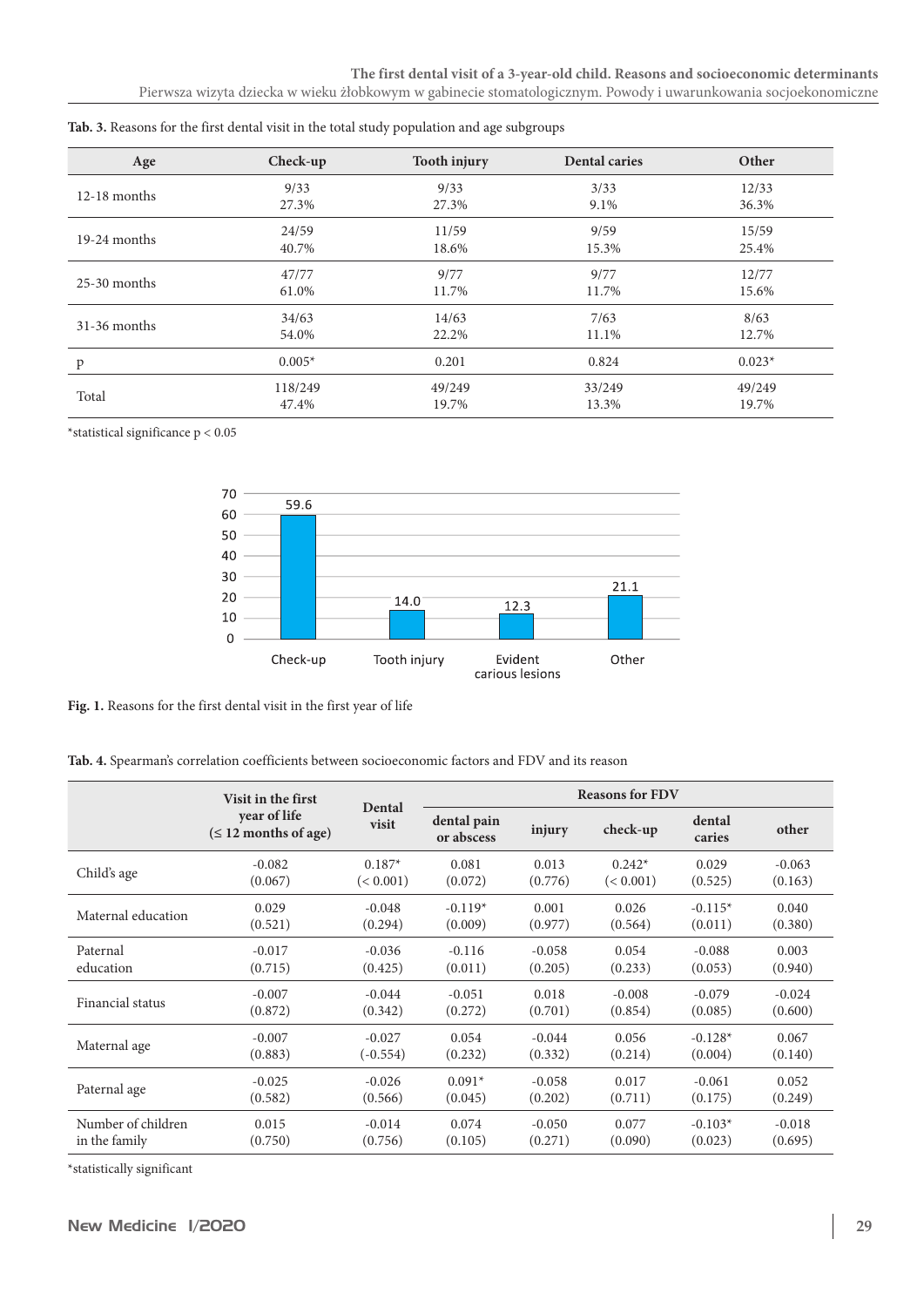| Age            | Check-up | <b>Tooth injury</b> | <b>Dental caries</b> | Other    |
|----------------|----------|---------------------|----------------------|----------|
| $12-18$ months | 9/33     | 9/33                | 3/33                 | 12/33    |
|                | 27.3%    | 27.3%               | 9.1%                 | 36.3%    |
| $19-24$ months | 24/59    | 11/59               | 9/59                 | 15/59    |
|                | 40.7%    | 18.6%               | 15.3%                | 25.4%    |
| $25-30$ months | 47/77    | 9/77                | 9/77                 | 12/77    |
|                | 61.0%    | 11.7%               | 11.7%                | 15.6%    |
| $31-36$ months | 34/63    | 14/63               | 7/63                 | 8/63     |
|                | 54.0%    | 22.2%               | 11.1%                | 12.7%    |
| p              | $0.005*$ | 0.201               | 0.824                | $0.023*$ |
| Total          | 118/249  | 49/249              | 33/249               | 49/249   |
|                | 47.4%    | 19.7%               | 13.3%                | 19.7%    |

 $^{\star}$  statistical significance p  $< 0.05$ 



**Fig. 1.** Reasons for the first dental visit in the first year of life

**Tab. 4.** Spearman's correlation coefficients between socioeconomic factors and FDV and its reason

|                    | Visit in the first<br>year of life<br>$(\leq 12$ months of age) | Dental<br>visit | <b>Reasons for FDV</b>    |          |           |                  |          |
|--------------------|-----------------------------------------------------------------|-----------------|---------------------------|----------|-----------|------------------|----------|
|                    |                                                                 |                 | dental pain<br>or abscess | injury   | check-up  | dental<br>caries | other    |
| Child's age        | $-0.082$                                                        | $0.187*$        | 0.081                     | 0.013    | $0.242*$  | 0.029            | $-0.063$ |
|                    | (0.067)                                                         | (< 0.001)       | (0.072)                   | (0.776)  | (< 0.001) | (0.525)          | (0.163)  |
| Maternal education | 0.029                                                           | $-0.048$        | $-0.119*$                 | 0.001    | 0.026     | $-0.115*$        | 0.040    |
|                    | (0.521)                                                         | (0.294)         | (0.009)                   | (0.977)  | (0.564)   | (0.011)          | (0.380)  |
| Paternal           | $-0.017$                                                        | $-0.036$        | $-0.116$                  | $-0.058$ | 0.054     | $-0.088$         | 0.003    |
| education          | (0.715)                                                         | (0.425)         | (0.011)                   | (0.205)  | (0.233)   | (0.053)          | (0.940)  |
| Financial status   | $-0.007$                                                        | $-0.044$        | $-0.051$                  | 0.018    | $-0.008$  | $-0.079$         | $-0.024$ |
|                    | (0.872)                                                         | (0.342)         | (0.272)                   | (0.701)  | (0.854)   | (0.085)          | (0.600)  |
| Maternal age       | $-0.007$                                                        | $-0.027$        | 0.054                     | $-0.044$ | 0.056     | $-0.128*$        | 0.067    |
|                    | (0.883)                                                         | $(-0.554)$      | (0.232)                   | (0.332)  | (0.214)   | (0.004)          | (0.140)  |
| Paternal age       | $-0.025$                                                        | $-0.026$        | $0.091*$                  | $-0.058$ | 0.017     | $-0.061$         | 0.052    |
|                    | (0.582)                                                         | (0.566)         | (0.045)                   | (0.202)  | (0.711)   | (0.175)          | (0.249)  |
| Number of children | 0.015                                                           | $-0.014$        | 0.074                     | $-0.050$ | 0.077     | $-0.103*$        | $-0.018$ |
| in the family      | (0.750)                                                         | (0.756)         | (0.105)                   | (0.271)  | (0.090)   | (0.023)          | (0.695)  |

 $^\star$  statistically significant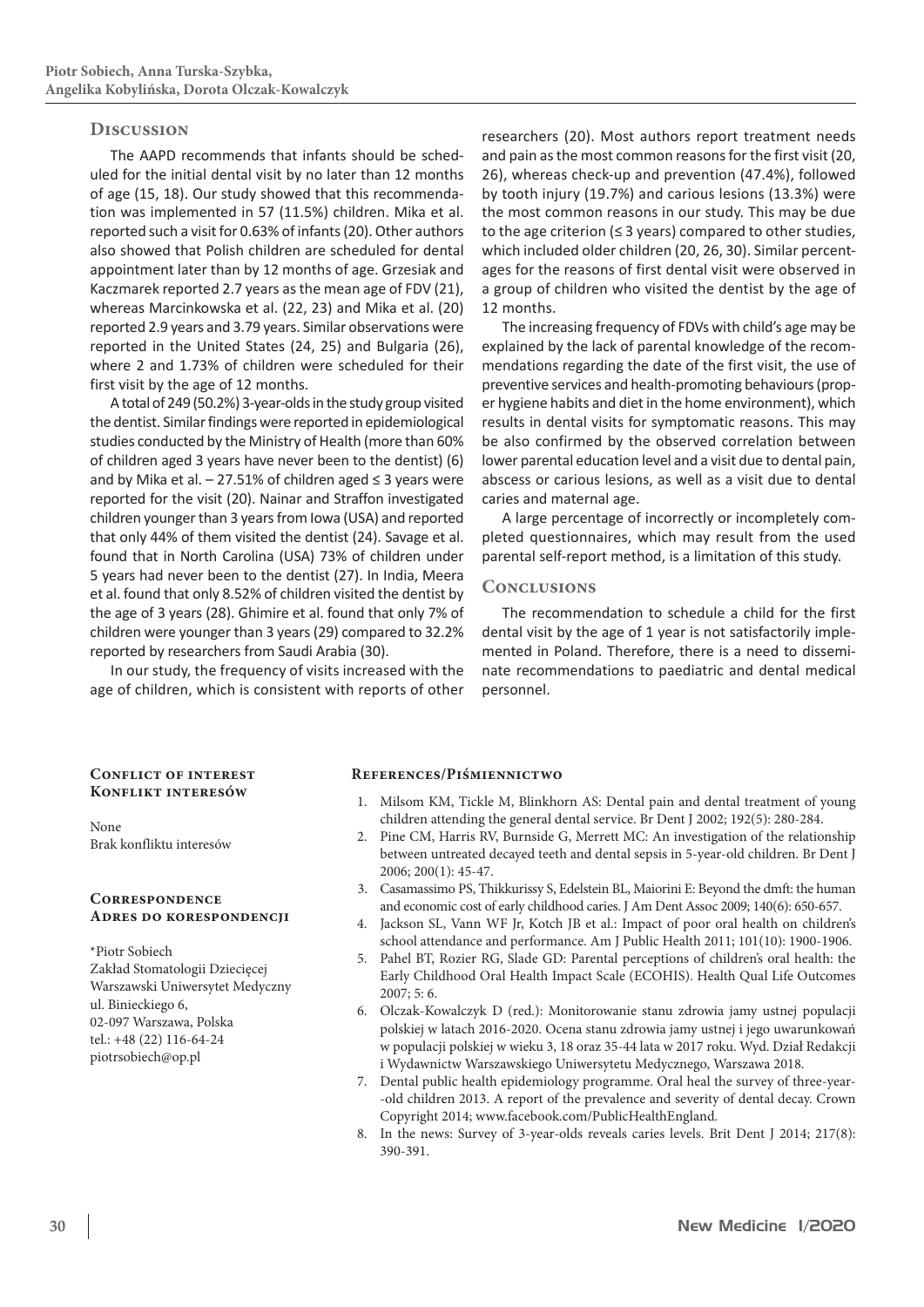# **Discussion**

The AAPD recommends that infants should be scheduled for the initial dental visit by no later than 12 months of age (15, 18). Our study showed that this recommendation was implemented in 57 (11.5%) children. Mika et al. reported such a visit for 0.63% of infants(20). Other authors also showed that Polish children are scheduled for dental appointment later than by 12 months of age. Grzesiak and Kaczmarek reported 2.7 years as the mean age of FDV (21), whereas Marcinkowska et al. (22, 23) and Mika et al. (20) reported 2.9 years and 3.79 years. Similar observations were reported in the United States (24, 25) and Bulgaria (26), where 2 and 1.73% of children were scheduled for their first visit by the age of 12 months.

A total of 249 (50.2%) 3-year-olds in the study group visited the dentist. Similar findings were reported in epidemiological studies conducted by the Ministry of Health (more than 60% of children aged 3 years have never been to the dentist) (6) and by Mika et al. – 27.51% of children aged ≤ 3 years were reported for the visit (20). Nainar and Straffon investigated children younger than 3 years from Iowa (USA) and reported that only 44% of them visited the dentist (24). Savage et al. found that in North Carolina (USA) 73% of children under 5 years had never been to the dentist (27). In India, Meera et al. found that only 8.52% of children visited the dentist by the age of 3 years (28). Ghimire et al. found that only 7% of children were younger than 3 years(29) compared to 32.2% reported by researchers from Saudi Arabia (30).

In our study, the frequency of visits increased with the age of children, which is consistent with reports of other

researchers (20). Most authors report treatment needs and pain as the most common reasons for the first visit (20, 26), whereas check-up and prevention (47.4%), followed by tooth injury (19.7%) and carious lesions (13.3%) were the most common reasons in our study. This may be due to the age criterion ( $\leq$  3 years) compared to other studies, which included older children (20, 26, 30). Similar percentages for the reasons of first dental visit were observed in a group of children who visited the dentist by the age of 12 months.

The increasing frequency of FDVs with child's age may be explained by the lack of parental knowledge of the recommendations regarding the date of the first visit, the use of preventive services and health-promoting behaviours(proper hygiene habits and diet in the home environment), which results in dental visits for symptomatic reasons. This may be also confirmed by the observed correlation between lower parental education level and a visit due to dental pain, abscess or carious lesions, as well as a visit due to dental caries and maternal age.

A large percentage of incorrectly or incompletely completed questionnaires, which may result from the used parental self-report method, is a limitation of this study.

# **Conclusions**

The recommendation to schedule a child for the first dental visit by the age of 1 year is not satisfactorily implemented in Poland. Therefore, there is a need to disseminate recommendations to paediatric and dental medical personnel.

# **Conflict of interest Konflikt interesów**

None Brak konfliktu interesów

# **Correspondence Adres do korespondencji**

\*Piotr Sobiech Zakład Stomatologii Dziecięcej Warszawski Uniwersytet Medyczny ul. Binieckiego 6, 02-097 Warszawa, Polska tel.: +48 (22) 116-64-24 piotrsobiech@op.pl

### **References/Piśmiennictwo**

- 1. Milsom KM, Tickle M, Blinkhorn AS: Dental pain and dental treatment of young children attending the general dental service. Br Dent J 2002; 192(5): 280-284.
- 2. Pine CM, Harris RV, Burnside G, Merrett MC: An investigation of the relationship between untreated decayed teeth and dental sepsis in 5-year-old children. Br Dent J 2006; 200(1): 45-47.
- 3. Casamassimo PS, Thikkurissy S, Edelstein BL, Maiorini E: Beyond the dmft: the human and economic cost of early childhood caries. J Am Dent Assoc 2009; 140(6): 650-657.
- 4. Jackson SL, Vann WF Jr, Kotch JB et al.: Impact of poor oral health on children's school attendance and performance. Am J Public Health 2011; 101(10): 1900-1906.
- 5. Pahel BT, Rozier RG, Slade GD: Parental perceptions of children's oral health: the Early Childhood Oral Health Impact Scale (ECOHIS). Health Qual Life Outcomes 2007; 5: 6.
- 6. Olczak-Kowalczyk D (red.): Monitorowanie stanu zdrowia jamy ustnej populacji polskiej w latach 2016-2020. Ocena stanu zdrowia jamy ustnej i jego uwarunkowań w populacji polskiej w wieku 3, 18 oraz 35-44 lata w 2017 roku. Wyd. Dział Redakcji i Wydawnictw Warszawskiego Uniwersytetu Medycznego, Warszawa 2018.
- 7. Dental public health epidemiology programme. Oral heal the survey of three-year- -old children 2013. A report of the prevalence and severity of dental decay. Crown Copyright 2014; www.facebook.com/PublicHealthEngland.
- 8. In the news: Survey of 3-year-olds reveals caries levels. Brit Dent J 2014; 217(8): 390-391.